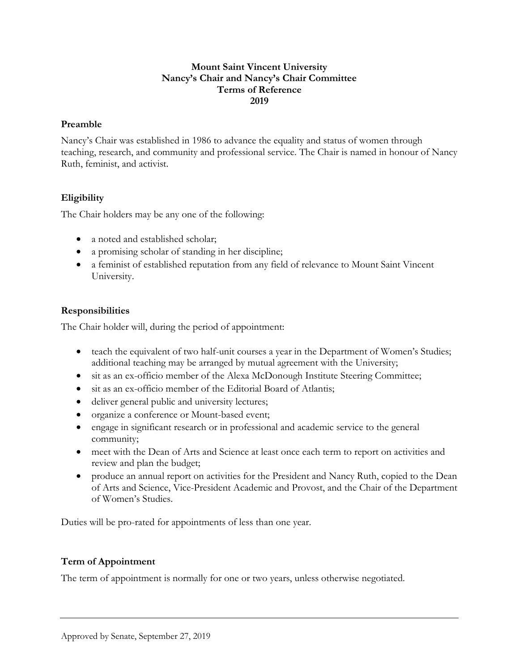#### **Mount Saint Vincent University Nancy's Chair and Nancy's Chair Committee Terms of Reference 2019**

#### **Preamble**

Nancy's Chair was established in 1986 to advance the equality and status of women through teaching, research, and community and professional service. The Chair is named in honour of Nancy Ruth, feminist, and activist.

## **Eligibility**

The Chair holders may be any one of the following:

- a noted and established scholar;
- a promising scholar of standing in her discipline;
- a feminist of established reputation from any field of relevance to Mount Saint Vincent University.

## **Responsibilities**

The Chair holder will, during the period of appointment:

- teach the equivalent of two half-unit courses a year in the Department of Women's Studies; additional teaching may be arranged by mutual agreement with the University;
- sit as an ex-officio member of the Alexa McDonough Institute Steering Committee;
- sit as an ex-officio member of the Editorial Board of Atlantis;
- deliver general public and university lectures;
- organize a conference or Mount-based event;
- engage in significant research or in professional and academic service to the general community;
- meet with the Dean of Arts and Science at least once each term to report on activities and review and plan the budget;
- produce an annual report on activities for the President and Nancy Ruth, copied to the Dean of Arts and Science, Vice-President Academic and Provost, and the Chair of the Department of Women's Studies.

Duties will be pro-rated for appointments of less than one year.

## **Term of Appointment**

The term of appointment is normally for one or two years, unless otherwise negotiated.